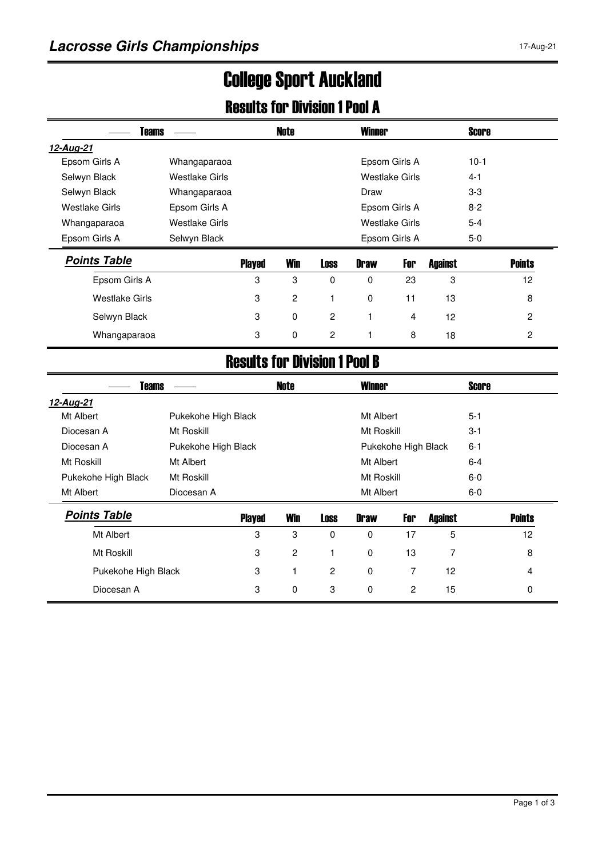# College Sport Auckland

#### Results for Division 1 Pool A

| <b>Teams</b>          |                |                               | <b>Note</b>    |          | <b>Winner</b> |                |         | <b>Score</b> |                 |
|-----------------------|----------------|-------------------------------|----------------|----------|---------------|----------------|---------|--------------|-----------------|
| 12-Aug-21             |                |                               |                |          |               |                |         |              |                 |
| Epsom Girls A         | Whangaparaoa   |                               |                |          |               | Epsom Girls A  |         | $10-1$       |                 |
| Selwyn Black          | Westlake Girls |                               |                |          |               | Westlake Girls |         | $4 - 1$      |                 |
| Selwyn Black          | Whangaparaoa   |                               |                |          | Draw          |                |         | $3-3$        |                 |
| <b>Westlake Girls</b> | Epsom Girls A  |                               |                |          |               | Epsom Girls A  |         | $8-2$        |                 |
| Whangaparaoa          | Westlake Girls |                               |                |          |               | Westlake Girls |         | $5 - 4$      |                 |
| Epsom Girls A         | Selwyn Black   |                               |                |          |               | Epsom Girls A  |         | 5-0          |                 |
| <b>Points Table</b>   |                | <b>Played</b>                 | Win            | Loss     | <b>Draw</b>   | For            | Against |              | <b>Points</b>   |
| Epsom Girls A         |                | 3                             | 3              | $\Omega$ | $\Omega$      | 23             | 3       |              | 12 <sup>2</sup> |
| Westlake Girls        |                | 3                             | $\overline{c}$ |          | 0             | 11             | 13      |              | 8               |
| Selwyn Black          |                | 3                             | $\mathbf 0$    | 2        |               | 4              | 12      |              | 2               |
| Whangaparaoa          |                | 3                             | $\mathbf 0$    | 2        |               | 8              | 18      |              | $\overline{c}$  |
|                       |                | Beaulte fan Biulaian 1 Baal B |                |          |               |                |         |              |                 |

#### Results for Division 1 Pool B

| <b>Teams</b>                                                 |                     |               | <b>Note</b> |                | <b>Winner</b>       |     |                | <b>Score</b> |               |
|--------------------------------------------------------------|---------------------|---------------|-------------|----------------|---------------------|-----|----------------|--------------|---------------|
| 12-Aug-21                                                    |                     |               |             |                |                     |     |                |              |               |
| Mt Albert                                                    | Pukekohe High Black |               |             |                | Mt Albert           |     |                | $5 - 1$      |               |
| Diocesan A                                                   | Mt Roskill          |               |             |                | Mt Roskill          |     |                | $3 - 1$      |               |
| Diocesan A<br>Pukekohe High Black                            |                     |               |             |                | Pukekohe High Black |     |                | $6 - 1$      |               |
| Mt Roskill<br>Mt Albert<br>Pukekohe High Black<br>Mt Roskill |                     |               |             | Mt Albert      |                     |     |                | $6 - 4$      |               |
|                                                              |                     |               | Mt Roskill  |                |                     |     |                | $6-0$        |               |
| Mt Albert                                                    | Diocesan A          |               |             |                | Mt Albert           |     |                | $6-0$        |               |
| <b>Points Table</b>                                          |                     | <b>Played</b> | Win         | <b>Loss</b>    | <b>Draw</b>         | For | <b>Against</b> |              | <b>Points</b> |
| Mt Albert                                                    |                     | 3             | 3           | 0              | 0                   | 17  | 5              |              | 12            |
| Mt Roskill                                                   |                     | 3             | 2           |                | $\mathbf 0$         | 13  | 7              |              | 8             |
| Pukekohe High Black                                          |                     | 3             | 1           | $\overline{c}$ | $\mathbf 0$         | 7   | 12             |              | 4             |
| Diocesan A                                                   |                     | 3             | 0           | 3              | 0                   | 2   | 15             |              | 0             |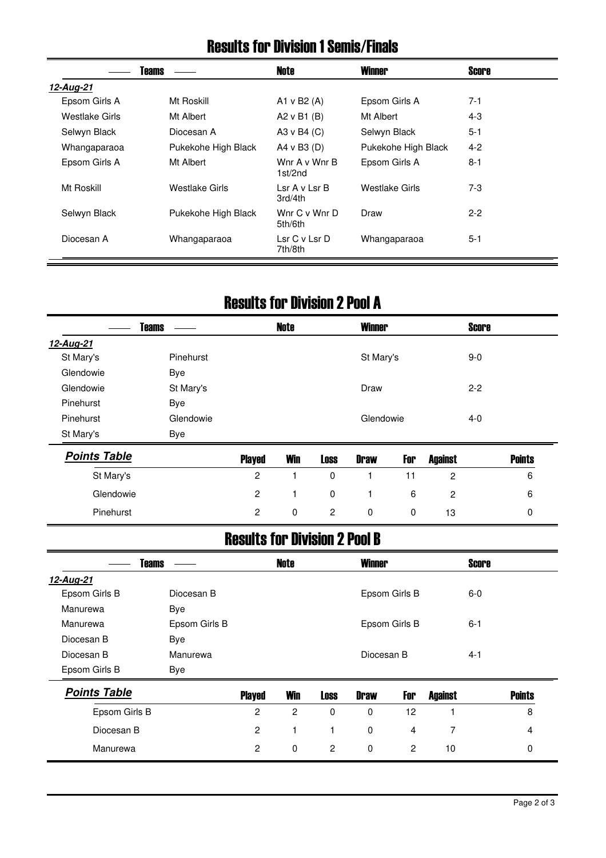#### Results for Division 1 Semis/Finals

|                | Teams               | Note                           | <b>Winner</b>       | Score   |
|----------------|---------------------|--------------------------------|---------------------|---------|
| 12-Aug-21      |                     |                                |                     |         |
| Epsom Girls A  | Mt Roskill          | A1 v B2 $(A)$                  | Epsom Girls A       | $7-1$   |
| Westlake Girls | Mt Albert           | A2 $v$ B1 (B)                  | Mt Albert           | $4 - 3$ |
| Selwyn Black   | Diocesan A          | A3 v B4 $(C)$                  | Selwyn Black        | $5 - 1$ |
| Whangaparaoa   | Pukekohe High Black | A4 v B3 $(D)$                  | Pukekohe High Black | $4 - 2$ |
| Epsom Girls A  | Mt Albert           | Wnr A v Wnr B<br>1st/2nd       | Epsom Girls A       | $8 - 1$ |
| Mt Roskill     | Westlake Girls      | lsrAvlsrB<br>3rd/4th           | Westlake Girls      | $7-3$   |
| Selwyn Black   | Pukekohe High Black | Wnr $C \vee W$ nr D<br>5th/6th | Draw                | $2 - 2$ |
| Diocesan A     | Whangaparaoa        | Lsr C v Lsr D<br>7th/8th       | Whangaparaoa        | $5 - 1$ |

#### Results for Division 2 Pool A

|           | <b>Teams</b> | <b>Note</b> | <b>Winner</b> | <b>Score</b> |  |
|-----------|--------------|-------------|---------------|--------------|--|
| 12-Aug-21 |              |             |               |              |  |
| St Mary's | Pinehurst    |             | St Mary's     | $9-0$        |  |
| Glendowie | <b>Bye</b>   |             |               |              |  |
| Glendowie | St Mary's    |             | Draw          | $2 - 2$      |  |
| Pinehurst | <b>Bye</b>   |             |               |              |  |
| Pinehurst | Glendowie    |             | Glendowie     | $4 - 0$      |  |
| St Mary's | Bye          |             |               |              |  |
|           |              |             |               |              |  |

| <b>Points Table</b> | <b>Played</b> | <b>Win</b> | <b>Loss</b> | <b>Draw</b> | For | <b>Against</b> | <b>Points</b> |
|---------------------|---------------|------------|-------------|-------------|-----|----------------|---------------|
| St Mary's           | 2             |            |             |             |     |                | ь             |
| Glendowie           | 2             |            | 0           |             | -6  |                | 6             |
| Pinehurst           |               | $\Omega$   | 2           | U           | 0   | 13             |               |

### Results for Division 2 Pool B

| <b>Teams</b>        |               |                | Note           |             | <b>Winner</b> |                 |                | <b>Score</b> |               |
|---------------------|---------------|----------------|----------------|-------------|---------------|-----------------|----------------|--------------|---------------|
| 12-Aug-21           |               |                |                |             |               |                 |                |              |               |
| Epsom Girls B       | Diocesan B    |                |                |             |               | Epsom Girls B   |                | $6-0$        |               |
| Manurewa            | Bye           |                |                |             |               |                 |                |              |               |
| Manurewa            | Epsom Girls B |                |                |             |               | Epsom Girls B   |                | $6 - 1$      |               |
| Diocesan B          | Bye           |                |                |             |               |                 |                |              |               |
| Diocesan B          | Manurewa      |                |                |             | Diocesan B    |                 |                | $4 - 1$      |               |
| Epsom Girls B       | Bye           |                |                |             |               |                 |                |              |               |
| <b>Points Table</b> |               | <b>Played</b>  | <b>Win</b>     | <b>Loss</b> | <b>Draw</b>   | For             | <b>Against</b> |              | <b>Points</b> |
| Epsom Girls B       |               | $\overline{c}$ | $\overline{c}$ | $\mathbf 0$ | 0             | 12 <sup>2</sup> |                |              | 8             |
| Diocesan B          |               | $\overline{2}$ | 1              |             | $\mathbf 0$   | 4               | 7              |              | 4             |
| Manurewa            |               | 2              | $\mathbf 0$    | 2           | 0             | $\overline{2}$  | 10             |              | $\Omega$      |